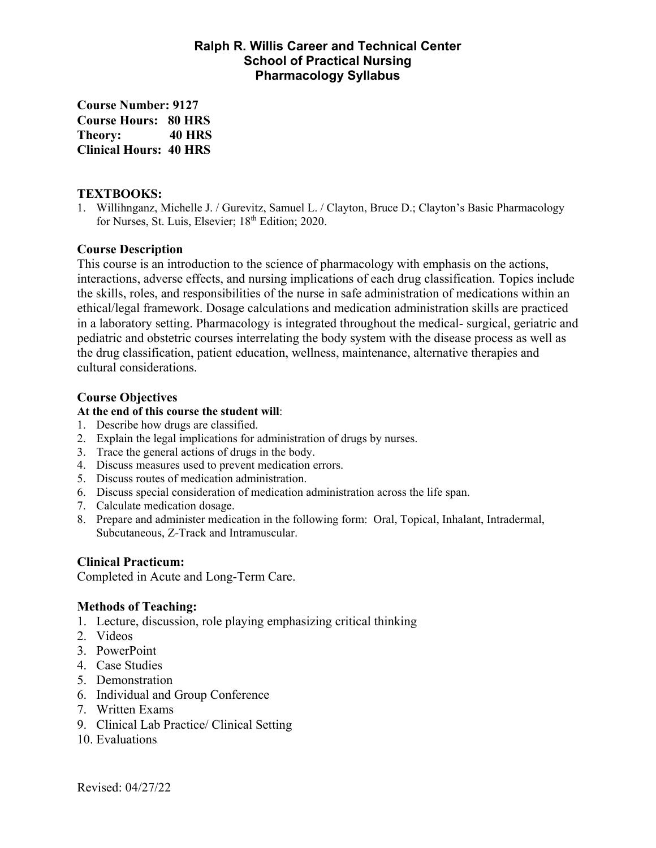# **Ralph R. Willis Career and Technical Center School of Practical Nursing Pharmacology Syllabus**

**Course Number: 9127 Course Hours: 80 HRS Theory: 40 HRS Clinical Hours: 40 HRS** 

#### **TEXTBOOKS:**

1. Willihnganz, Michelle J. / Gurevitz, Samuel L. / Clayton, Bruce D.; Clayton's Basic Pharmacology for Nurses, St. Luis, Elsevier; 18<sup>th</sup> Edition; 2020.

### **Course Description**

This course is an introduction to the science of pharmacology with emphasis on the actions, interactions, adverse effects, and nursing implications of each drug classification. Topics include the skills, roles, and responsibilities of the nurse in safe administration of medications within an ethical/legal framework. Dosage calculations and medication administration skills are practiced in a laboratory setting. Pharmacology is integrated throughout the medical- surgical, geriatric and pediatric and obstetric courses interrelating the body system with the disease process as well as the drug classification, patient education, wellness, maintenance, alternative therapies and cultural considerations.

# **Course Objectives**

#### **At the end of this course the student will**:

- 1. Describe how drugs are classified.
- 2. Explain the legal implications for administration of drugs by nurses.
- 3. Trace the general actions of drugs in the body.
- 4. Discuss measures used to prevent medication errors.
- 5. Discuss routes of medication administration.
- 6. Discuss special consideration of medication administration across the life span.
- 7. Calculate medication dosage.
- 8. Prepare and administer medication in the following form: Oral, Topical, Inhalant, Intradermal, Subcutaneous, Z-Track and Intramuscular.

# **Clinical Practicum:**

Completed in Acute and Long-Term Care.

#### **Methods of Teaching:**

- 1. Lecture, discussion, role playing emphasizing critical thinking
- 2. Videos
- 3. PowerPoint
- 4. Case Studies
- 5. Demonstration
- 6. Individual and Group Conference
- 7. Written Exams
- 9. Clinical Lab Practice/ Clinical Setting
- 10. Evaluations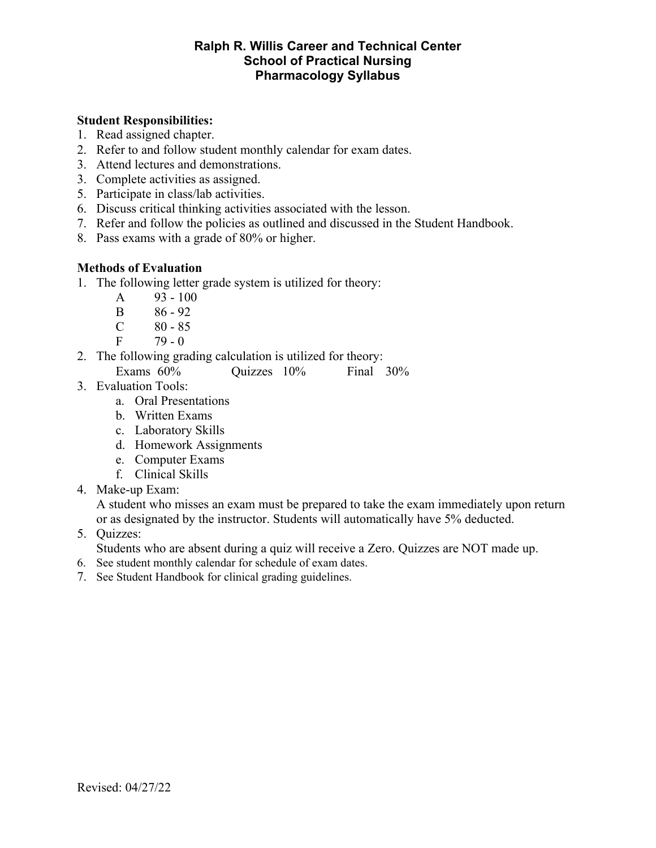# **Ralph R. Willis Career and Technical Center School of Practical Nursing Pharmacology Syllabus**

## **Student Responsibilities:**

- 1. Read assigned chapter.
- 2. Refer to and follow student monthly calendar for exam dates.
- 3. Attend lectures and demonstrations.
- 3. Complete activities as assigned.
- 5. Participate in class/lab activities.
- 6. Discuss critical thinking activities associated with the lesson.
- 7. Refer and follow the policies as outlined and discussed in the Student Handbook.
- 8. Pass exams with a grade of 80% or higher.

#### **Methods of Evaluation**

- 1. The following letter grade system is utilized for theory:
	- A 93 100
	- B 86 92
	- $C \t 80 85$
	- $F = 79 0$
- 2. The following grading calculation is utilized for theory:
	- Exams 60% Quizzes 10% Final 30%
- 3. Evaluation Tools:
	- a. Oral Presentations
	- b. Written Exams
	- c. Laboratory Skills
	- d. Homework Assignments
	- e. Computer Exams
	- f. Clinical Skills
- 4. Make-up Exam:

A student who misses an exam must be prepared to take the exam immediately upon return or as designated by the instructor. Students will automatically have 5% deducted.

5. Quizzes:

Students who are absent during a quiz will receive a Zero. Quizzes are NOT made up.

- 6. See student monthly calendar for schedule of exam dates.
- 7. See Student Handbook for clinical grading guidelines.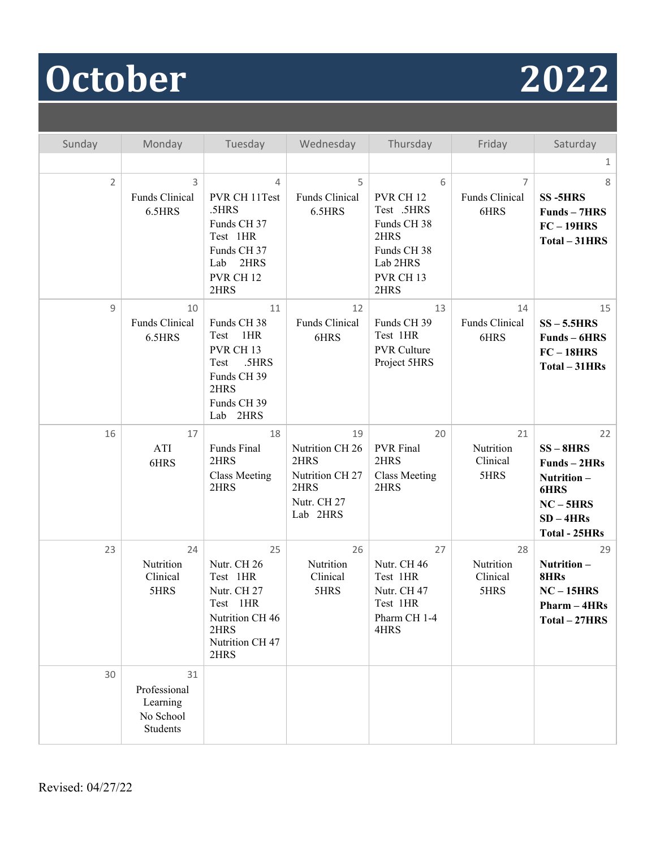# **October 2022**

| Sunday         | Monday                                                  | Tuesday                                                                                                                        | Wednesday                                                                           | Thursday                                                                                                                  | Friday                                   | Saturday                                                                                                    |
|----------------|---------------------------------------------------------|--------------------------------------------------------------------------------------------------------------------------------|-------------------------------------------------------------------------------------|---------------------------------------------------------------------------------------------------------------------------|------------------------------------------|-------------------------------------------------------------------------------------------------------------|
|                |                                                         |                                                                                                                                |                                                                                     |                                                                                                                           |                                          | $\mathbf{1}$                                                                                                |
| $\overline{2}$ | 3<br>Funds Clinical<br>6.5HRS                           | 4<br>PVR CH 11Test<br>.5HRS<br>Funds CH 37<br>Test 1HR<br>Funds CH 37<br>Lab<br>2HRS<br>PVR CH <sub>12</sub><br>2HRS           | 5<br>Funds Clinical<br>6.5HRS                                                       | 6<br>PVR CH <sub>12</sub><br>Test .5HRS<br>Funds CH 38<br>2HRS<br>Funds CH 38<br>Lab 2HRS<br>PVR CH <sub>13</sub><br>2HRS | $\overline{7}$<br>Funds Clinical<br>6HRS | 8<br><b>SS-5HRS</b><br>Funds - 7HRS<br>$FC-19HRS$<br>Total - 31HRS                                          |
| 9              | 10<br>Funds Clinical<br>6.5HRS                          | 11<br>Funds CH 38<br>1HR<br>Test<br>PVR CH <sub>13</sub><br>.5HRS<br>Test<br>Funds CH 39<br>2HRS<br>Funds CH 39<br>Lab<br>2HRS | 12<br>Funds Clinical<br>6HRS                                                        | 13<br>Funds CH 39<br>Test 1HR<br><b>PVR Culture</b><br>Project 5HRS                                                       | 14<br>Funds Clinical<br>6HRS             | 15<br>$SS - 5.5HRS$<br>Funds – 6HRS<br>$FC-18HRS$<br>Total - 31HRs                                          |
| 16             | 17<br>ATI<br>6HRS                                       | 18<br>Funds Final<br>2HRS<br><b>Class Meeting</b><br>2HRS                                                                      | 19<br>Nutrition CH 26<br>2HRS<br>Nutrition CH 27<br>2HRS<br>Nutr. CH 27<br>Lab 2HRS | 20<br><b>PVR</b> Final<br>2HRS<br><b>Class Meeting</b><br>2HRS                                                            | 21<br>Nutrition<br>Clinical<br>5HRS      | 22<br>$SS - 8HRS$<br>Funds-2HRs<br>Nutrition-<br>6HRS<br>$NC - 5HRS$<br>$SD - 4HRs$<br><b>Total - 25HRs</b> |
| 23             | 24<br>Nutrition<br>Clinical<br>5HRS                     | 25<br>Nutr. CH 26<br>Test 1HR<br>Nutr. CH 27<br>Test 1HR<br>Nutrition CH 46<br>2HRS<br>Nutrition CH 47<br>2HRS                 | 26<br>Nutrition<br>Clinical<br>5HRS                                                 | 27<br>Nutr. CH 46<br>Test 1HR<br>Nutr. CH 47<br>Test 1HR<br>Pharm CH 1-4<br>4HRS                                          | 28<br>Nutrition<br>Clinical<br>5HRS      | 29<br>Nutrition-<br>8HRs<br>$NC-15HRS$<br>$Pharm - 4HRs$<br>Total - 27HRS                                   |
| 30             | 31<br>Professional<br>Learning<br>No School<br>Students |                                                                                                                                |                                                                                     |                                                                                                                           |                                          |                                                                                                             |